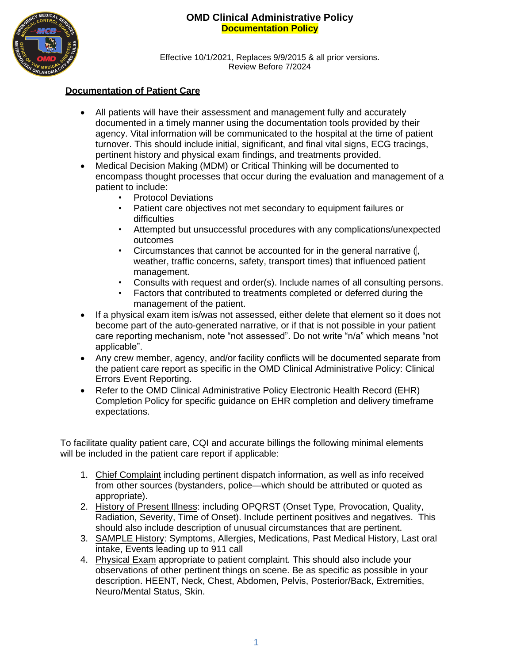

Effective 10/1/2021, Replaces 9/9/2015 & all prior versions. Review Before 7/2024

#### **Documentation of Patient Care**

- All patients will have their assessment and management fully and accurately documented in a timely manner using the documentation tools provided by their agency. Vital information will be communicated to the hospital at the time of patient turnover. This should include initial, significant, and final vital signs, ECG tracings, pertinent history and physical exam findings, and treatments provided.
- Medical Decision Making (MDM) or Critical Thinking will be documented to encompass thought processes that occur during the evaluation and management of a patient to include:
	- Protocol Deviations
	- Patient care objectives not met secondary to equipment failures or difficulties
	- Attempted but unsuccessful procedures with any complications/unexpected outcomes
	- Circumstances that cannot be accounted for in the general narrative  $\left( \right|$ , weather, traffic concerns, safety, transport times) that influenced patient management.
	- Consults with request and order(s). Include names of all consulting persons.
	- Factors that contributed to treatments completed or deferred during the management of the patient.
- If a physical exam item is/was not assessed, either delete that element so it does not become part of the auto-generated narrative, or if that is not possible in your patient care reporting mechanism, note "not assessed". Do not write "n/a" which means "not applicable".
- Any crew member, agency, and/or facility conflicts will be documented separate from the patient care report as specific in the OMD Clinical Administrative Policy: Clinical Errors Event Reporting.
- Refer to the OMD Clinical Administrative Policy Electronic Health Record (EHR) Completion Policy for specific guidance on EHR completion and delivery timeframe expectations.

To facilitate quality patient care, CQI and accurate billings the following minimal elements will be included in the patient care report if applicable:

- 1. Chief Complaint including pertinent dispatch information, as well as info received from other sources (bystanders, police—which should be attributed or quoted as appropriate).
- 2. History of Present Illness: including OPQRST (Onset Type, Provocation, Quality, Radiation, Severity, Time of Onset). Include pertinent positives and negatives. This should also include description of unusual circumstances that are pertinent.
- 3. SAMPLE History: Symptoms, Allergies, Medications, Past Medical History, Last oral intake, Events leading up to 911 call
- 4. Physical Exam appropriate to patient complaint. This should also include your observations of other pertinent things on scene. Be as specific as possible in your description. HEENT, Neck, Chest, Abdomen, Pelvis, Posterior/Back, Extremities, Neuro/Mental Status, Skin.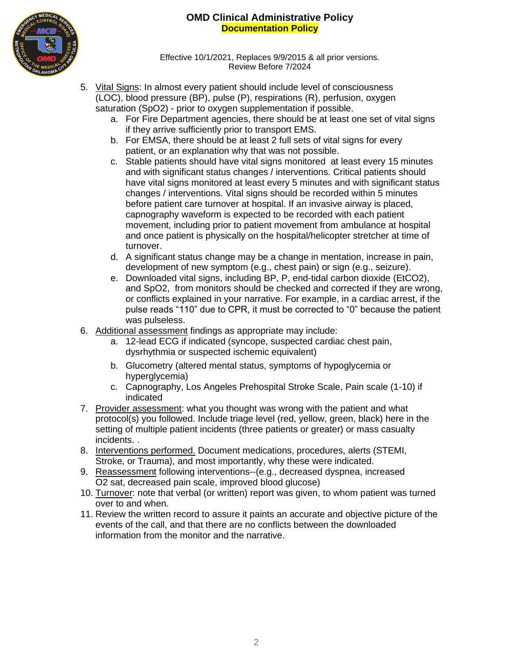

Effective 10/1/2021, Replaces 9/9/2015 & all prior versions. Review Before 7/2024

- 5. Vital Signs: In almost every patient should include level of consciousness (LOC), blood pressure (BP), pulse (P), respirations (R), perfusion, oxygen saturation (SpO2) - prior to oxygen supplementation if possible.
	- a. For Fire Department agencies, there should be at least one set of vital signs if they arrive sufficiently prior to transport EMS.
	- b. For EMSA, there should be at least 2 full sets of vital signs for every patient, or an explanation why that was not possible.
	- c. Stable patients should have vital signs monitored at least every 15 minutes and with significant status changes / interventions. Critical patients should have vital signs monitored at least every 5 minutes and with significant status changes / interventions. Vital signs should be recorded within 5 minutes before patient care turnover at hospital. If an invasive airway is placed, capnography waveform is expected to be recorded with each patient movement, including prior to patient movement from ambulance at hospital and once patient is physically on the hospital/helicopter stretcher at time of turnover.
	- d. A significant status change may be a change in mentation, increase in pain, development of new symptom (e.g., chest pain) or sign (e.g., seizure).
	- e. Downloaded vital signs, including BP, P, end-tidal carbon dioxide (EtCO2), and SpO2, from monitors should be checked and corrected if they are wrong, or conflicts explained in your narrative. For example, in a cardiac arrest, if the pulse reads "110" due to CPR, it must be corrected to "0" because the patient was pulseless.
- 6. Additional assessment findings as appropriate may include:
	- a. 12-lead ECG if indicated (syncope, suspected cardiac chest pain, dysrhythmia or suspected ischemic equivalent)
	- b. Glucometry (altered mental status, symptoms of hypoglycemia or hyperglycemia)
	- c. Capnography, Los Angeles Prehospital Stroke Scale, Pain scale (1-10) if indicated
- 7. Provider assessment: what you thought was wrong with the patient and what protocol(s) you followed. Include triage level (red, yellow, green, black) here in the setting of multiple patient incidents (three patients or greater) or mass casualty incidents. .
- 8. Interventions performed. Document medications, procedures, alerts (STEMI, Stroke, or Trauma), and most importantly, why these were indicated.
- 9. Reassessment following interventions--(e.g., decreased dyspnea, increased O2 sat, decreased pain scale, improved blood glucose)
- 10. Turnover: note that verbal (or written) report was given, to whom patient was turned over to and when.
- 11. Review the written record to assure it paints an accurate and objective picture of the events of the call, and that there are no conflicts between the downloaded information from the monitor and the narrative.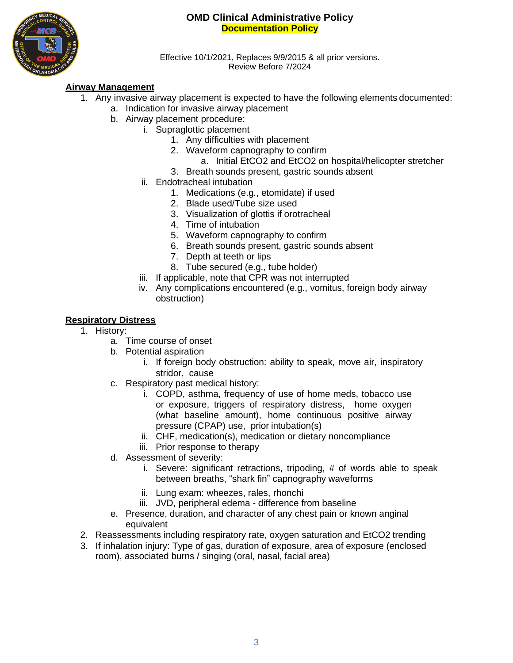

Effective 10/1/2021, Replaces 9/9/2015 & all prior versions. Review Before 7/2024

## **Airway Management**

- 1. Any invasive airway placement is expected to have the following elements documented:
	- a. Indication for invasive airway placement
	- b. Airway placement procedure:
		- i. Supraglottic placement
			- 1. Any difficulties with placement
			- 2. Waveform capnography to confirm
				- a. Initial EtCO2 and EtCO2 on hospital/helicopter stretcher
			- 3. Breath sounds present, gastric sounds absent
			- ii. Endotracheal intubation
				- 1. Medications (e.g., etomidate) if used
				- 2. Blade used/Tube size used
				- 3. Visualization of glottis if orotracheal
				- 4. Time of intubation
				- 5. Waveform capnography to confirm
				- 6. Breath sounds present, gastric sounds absent
				- 7. Depth at teeth or lips
				- 8. Tube secured (e.g., tube holder)
			- iii. If applicable, note that CPR was not interrupted
			- iv. Any complications encountered (e.g., vomitus, foreign body airway obstruction)

#### **Respiratory Distress**

- 1. History:
	- a. Time course of onset
	- b. Potential aspiration
		- i. If foreign body obstruction: ability to speak, move air, inspiratory stridor, cause
	- c. Respiratory past medical history:
		- i. COPD, asthma, frequency of use of home meds, tobacco use or exposure, triggers of respiratory distress, home oxygen (what baseline amount), home continuous positive airway pressure (CPAP) use, prior intubation(s)
		- ii. CHF, medication(s), medication or dietary noncompliance
		- iii. Prior response to therapy
	- d. Assessment of severity:
		- i. Severe: significant retractions, tripoding, # of words able to speak between breaths, "shark fin" capnography waveforms
		- ii. Lung exam: wheezes, rales, rhonchi
		- iii. JVD, peripheral edema difference from baseline
	- e. Presence, duration, and character of any chest pain or known anginal equivalent
- 2. Reassessments including respiratory rate, oxygen saturation and EtCO2 trending
- 3. If inhalation injury: Type of gas, duration of exposure, area of exposure (enclosed room), associated burns / singing (oral, nasal, facial area)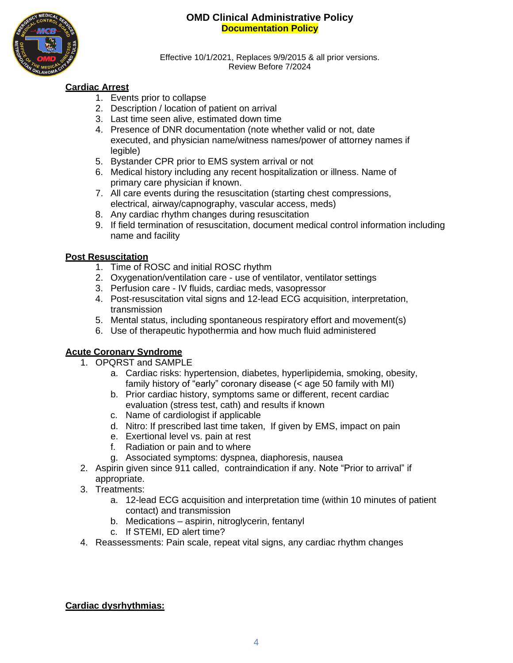

Effective 10/1/2021, Replaces 9/9/2015 & all prior versions. Review Before 7/2024

# **Cardiac Arrest**

- 1. Events prior to collapse
- 2. Description / location of patient on arrival
- 3. Last time seen alive, estimated down time
- 4. Presence of DNR documentation (note whether valid or not, date executed, and physician name/witness names/power of attorney names if legible)
- 5. Bystander CPR prior to EMS system arrival or not
- 6. Medical history including any recent hospitalization or illness. Name of primary care physician if known.
- 7. All care events during the resuscitation (starting chest compressions, electrical, airway/capnography, vascular access, meds)
- 8. Any cardiac rhythm changes during resuscitation
- 9. If field termination of resuscitation, document medical control information including name and facility

## **Post Resuscitation**

- 1. Time of ROSC and initial ROSC rhythm
- 2. Oxygenation/ventilation care use of ventilator, ventilator settings
- 3. Perfusion care IV fluids, cardiac meds, vasopressor
- 4. Post-resuscitation vital signs and 12-lead ECG acquisition, interpretation, transmission
- 5. Mental status, including spontaneous respiratory effort and movement(s)
- 6. Use of therapeutic hypothermia and how much fluid administered

## **Acute Coronary Syndrome**

- 1. OPQRST and SAMPLE
	- a. Cardiac risks: hypertension, diabetes, hyperlipidemia, smoking, obesity, family history of "early" coronary disease (< age 50 family with MI)
	- b. Prior cardiac history, symptoms same or different, recent cardiac evaluation (stress test, cath) and results if known
	- c. Name of cardiologist if applicable
	- d. Nitro: If prescribed last time taken, If given by EMS, impact on pain
	- e. Exertional level vs. pain at rest
	- f. Radiation or pain and to where
	- g. Associated symptoms: dyspnea, diaphoresis, nausea
- 2. Aspirin given since 911 called, contraindication if any. Note "Prior to arrival" if appropriate.
- 3. Treatments:
	- a. 12-lead ECG acquisition and interpretation time (within 10 minutes of patient contact) and transmission
	- b. Medications aspirin, nitroglycerin, fentanyl
	- c. If STEMI, ED alert time?
- 4. Reassessments: Pain scale, repeat vital signs, any cardiac rhythm changes

## **Cardiac dysrhythmias:**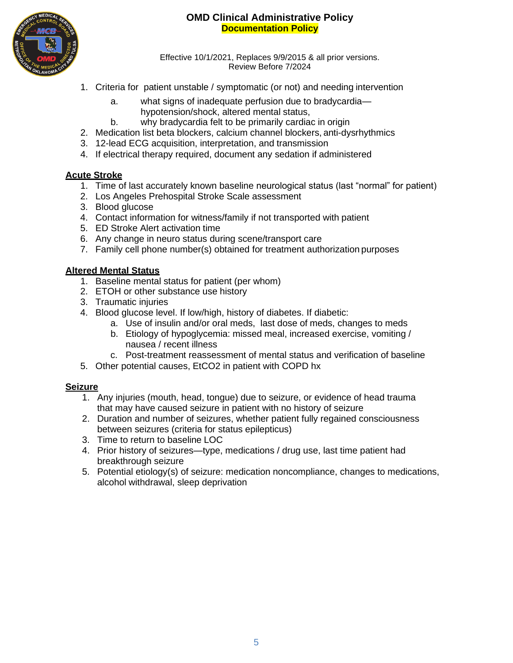

Effective 10/1/2021, Replaces 9/9/2015 & all prior versions. Review Before 7/2024

- 1. Criteria for patient unstable / symptomatic (or not) and needing intervention
	- a. what signs of inadequate perfusion due to bradycardia hypotension/shock, altered mental status,
	- b. why bradycardia felt to be primarily cardiac in origin
- 2. Medication list beta blockers, calcium channel blockers, anti-dysrhythmics
- 3. 12-lead ECG acquisition, interpretation, and transmission
- 4. If electrical therapy required, document any sedation if administered

## **Acute Stroke**

- 1. Time of last accurately known baseline neurological status (last "normal" for patient)
- 2. Los Angeles Prehospital Stroke Scale assessment
- 3. Blood glucose
- 4. Contact information for witness/family if not transported with patient
- 5. ED Stroke Alert activation time
- 6. Any change in neuro status during scene/transport care
- 7. Family cell phone number(s) obtained for treatment authorization purposes

### **Altered Mental Status**

- 1. Baseline mental status for patient (per whom)
- 2. ETOH or other substance use history
- 3. Traumatic injuries
- 4. Blood glucose level. If low/high, history of diabetes. If diabetic:
	- a. Use of insulin and/or oral meds, last dose of meds, changes to meds
	- b. Etiology of hypoglycemia: missed meal, increased exercise, vomiting / nausea / recent illness
	- c. Post-treatment reassessment of mental status and verification of baseline
- 5. Other potential causes, EtCO2 in patient with COPD hx

#### **Seizure**

- 1. Any injuries (mouth, head, tongue) due to seizure, or evidence of head trauma that may have caused seizure in patient with no history of seizure
- 2. Duration and number of seizures, whether patient fully regained consciousness between seizures (criteria for status epilepticus)
- 3. Time to return to baseline LOC
- 4. Prior history of seizures—type, medications / drug use, last time patient had breakthrough seizure
- 5. Potential etiology(s) of seizure: medication noncompliance, changes to medications, alcohol withdrawal, sleep deprivation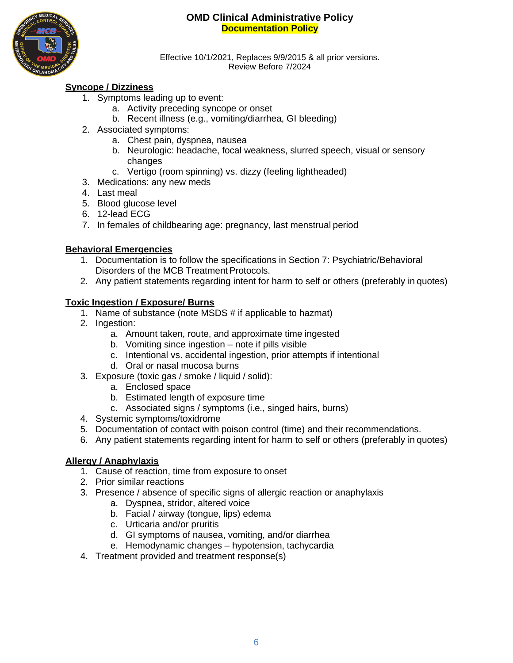

Effective 10/1/2021, Replaces 9/9/2015 & all prior versions. Review Before 7/2024

## **Syncope / Dizziness**

- 1. Symptoms leading up to event:
	- a. Activity preceding syncope or onset
	- b. Recent illness (e.g., vomiting/diarrhea, GI bleeding)
- 2. Associated symptoms:
	- a. Chest pain, dyspnea, nausea
	- b. Neurologic: headache, focal weakness, slurred speech, visual or sensory changes
	- c. Vertigo (room spinning) vs. dizzy (feeling lightheaded)
- 3. Medications: any new meds
- 4. Last meal
- 5. Blood glucose level
- 6. 12-lead ECG
- 7. In females of childbearing age: pregnancy, last menstrual period

### **Behavioral Emergencies**

- 1. Documentation is to follow the specifications in Section 7: Psychiatric/Behavioral Disorders of the MCB Treatment Protocols.
- 2. Any patient statements regarding intent for harm to self or others (preferably in quotes)

### **Toxic Ingestion / Exposure/ Burns**

- 1. Name of substance (note MSDS # if applicable to hazmat)
- 2. Ingestion:
	- a. Amount taken, route, and approximate time ingested
	- b. Vomiting since ingestion note if pills visible
	- c. Intentional vs. accidental ingestion, prior attempts if intentional
	- d. Oral or nasal mucosa burns
- 3. Exposure (toxic gas / smoke / liquid / solid):
	- a. Enclosed space
	- b. Estimated length of exposure time
	- c. Associated signs / symptoms (i.e., singed hairs, burns)
- 4. Systemic symptoms/toxidrome
- 5. Documentation of contact with poison control (time) and their recommendations.
- 6. Any patient statements regarding intent for harm to self or others (preferably in quotes)

## **Allergy / Anaphylaxis**

- 1. Cause of reaction, time from exposure to onset
- 2. Prior similar reactions
- 3. Presence / absence of specific signs of allergic reaction or anaphylaxis
	- a. Dyspnea, stridor, altered voice
	- b. Facial / airway (tongue, lips) edema
	- c. Urticaria and/or pruritis
	- d. GI symptoms of nausea, vomiting, and/or diarrhea
	- e. Hemodynamic changes hypotension, tachycardia
- 4. Treatment provided and treatment response(s)